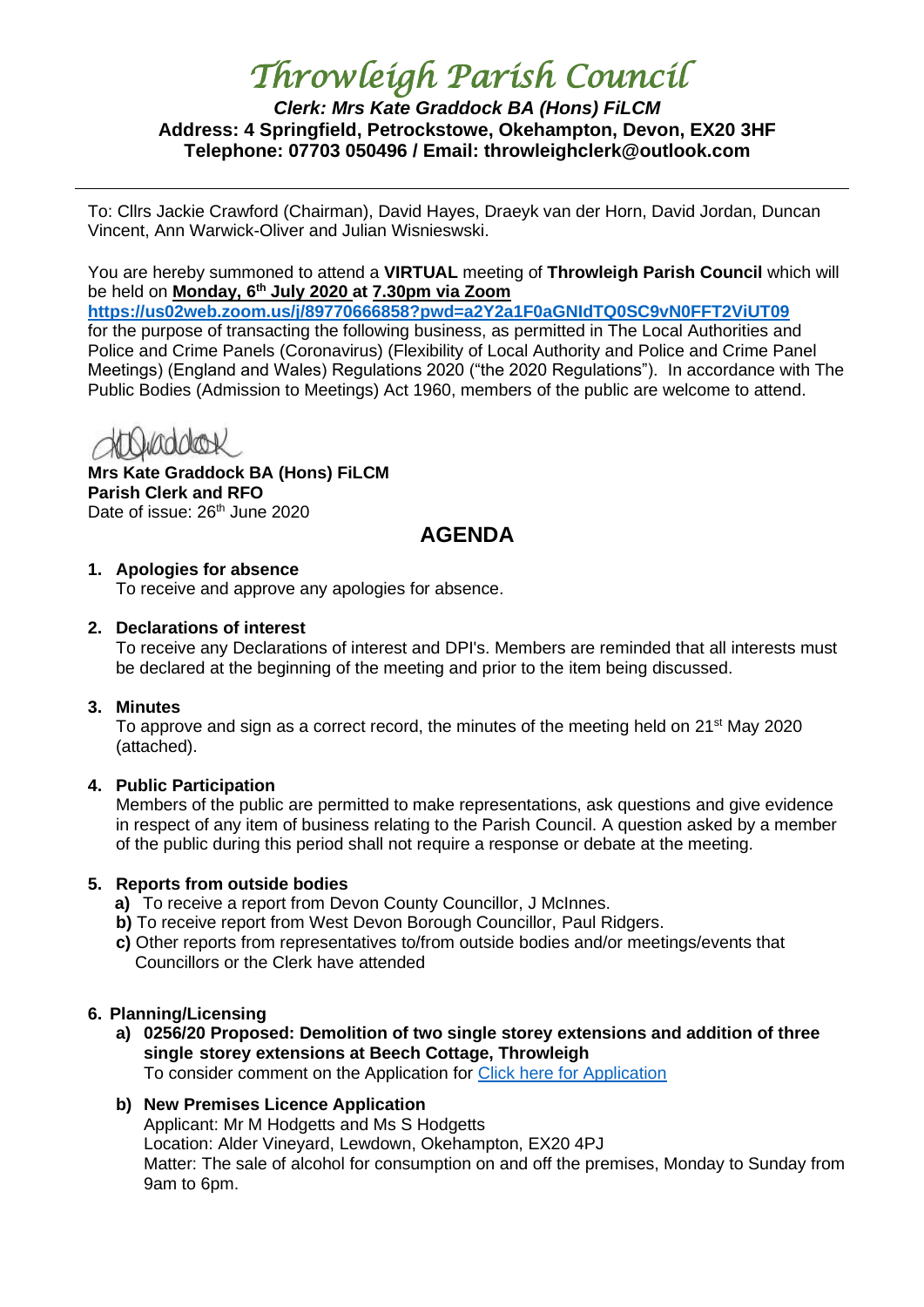# *Throwleigh Parish Council*

# *Clerk: Mrs Kate Graddock BA (Hons) FiLCM* **Address: 4 Springfield, Petrockstowe, Okehampton, Devon, EX20 3HF Telephone: 07703 050496 / Email: throwleighclerk@outlook.com**

To: Cllrs Jackie Crawford (Chairman), David Hayes, Draeyk van der Horn, David Jordan, Duncan Vincent, Ann Warwick-Oliver and Julian Wisnieswski.

You are hereby summoned to attend a **VIRTUAL** meeting of **Throwleigh Parish Council** which will be held on **Monday, 6th July 2020 at 7.30pm via Zoom**

**<https://us02web.zoom.us/j/89770666858?pwd=a2Y2a1F0aGNIdTQ0SC9vN0FFT2ViUT09>** for the purpose of transacting the following business, as permitted in The Local Authorities and Police and Crime Panels (Coronavirus) (Flexibility of Local Authority and Police and Crime Panel Meetings) (England and Wales) Regulations 2020 ("the 2020 Regulations"). In accordance with The Public Bodies (Admission to Meetings) Act 1960, members of the public are welcome to attend.

**Mrs Kate Graddock BA (Hons) FiLCM Parish Clerk and RFO** Date of issue: 26<sup>th</sup> June 2020

# **AGENDA**

# **1. Apologies for absence**

To receive and approve any apologies for absence.

# **2. Declarations of interest**

To receive any Declarations of interest and DPI's. Members are reminded that all interests must be declared at the beginning of the meeting and prior to the item being discussed.

# **3. Minutes**

To approve and sign as a correct record, the minutes of the meeting held on 21<sup>st</sup> May 2020 (attached).

# **4. Public Participation**

Members of the public are permitted to make representations, ask questions and give evidence in respect of any item of business relating to the Parish Council. A question asked by a member of the public during this period shall not require a response or debate at the meeting.

# **5. Reports from outside bodies**

- **a)** To receive a report from Devon County Councillor, J McInnes.
- **b)** To receive report from West Devon Borough Councillor, Paul Ridgers.
- **c)** Other reports from representatives to/from outside bodies and/or meetings/events that Councillors or the Clerk have attended

# **6. Planning/Licensing**

**a) 0256/20 Proposed: Demolition of two single storey extensions and addition of three single storey extensions at Beech Cottage, Throwleigh** To consider comment on the Application for [Click here for Application](https://www.dartmoor.gov.uk/living-and-working/planning/search-for-an-application/db-links/detailed-application-result?AppNo=0256%2F20)

# **b) New Premises Licence Application**

Applicant: Mr M Hodgetts and Ms S Hodgetts Location: Alder Vineyard, Lewdown, Okehampton, EX20 4PJ Matter: The sale of alcohol for consumption on and off the premises, Monday to Sunday from 9am to 6pm.